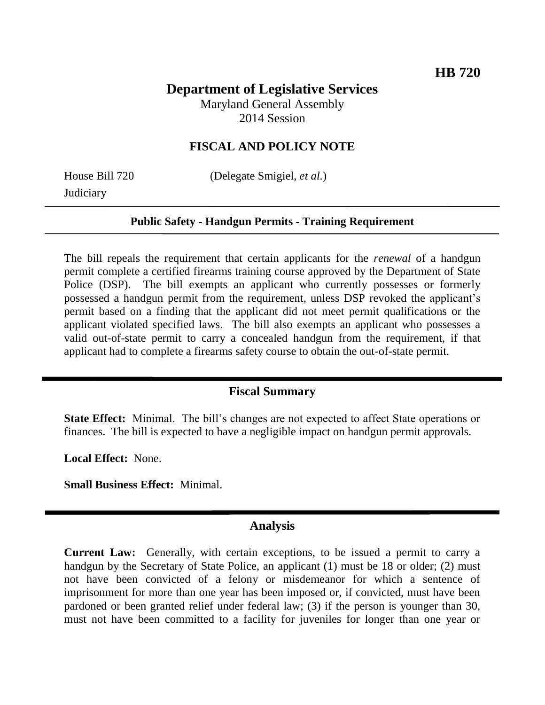# **Department of Legislative Services**

Maryland General Assembly 2014 Session

## **FISCAL AND POLICY NOTE**

**Judiciary** 

House Bill 720 (Delegate Smigiel, *et al.*)

### **Public Safety - Handgun Permits - Training Requirement**

The bill repeals the requirement that certain applicants for the *renewal* of a handgun permit complete a certified firearms training course approved by the Department of State Police (DSP). The bill exempts an applicant who currently possesses or formerly possessed a handgun permit from the requirement, unless DSP revoked the applicant's permit based on a finding that the applicant did not meet permit qualifications or the applicant violated specified laws. The bill also exempts an applicant who possesses a valid out-of-state permit to carry a concealed handgun from the requirement, if that applicant had to complete a firearms safety course to obtain the out-of-state permit.

### **Fiscal Summary**

**State Effect:** Minimal. The bill's changes are not expected to affect State operations or finances. The bill is expected to have a negligible impact on handgun permit approvals.

**Local Effect:** None.

**Small Business Effect:** Minimal.

### **Analysis**

**Current Law:** Generally, with certain exceptions, to be issued a permit to carry a handgun by the Secretary of State Police, an applicant (1) must be 18 or older; (2) must not have been convicted of a felony or misdemeanor for which a sentence of imprisonment for more than one year has been imposed or, if convicted, must have been pardoned or been granted relief under federal law; (3) if the person is younger than 30, must not have been committed to a facility for juveniles for longer than one year or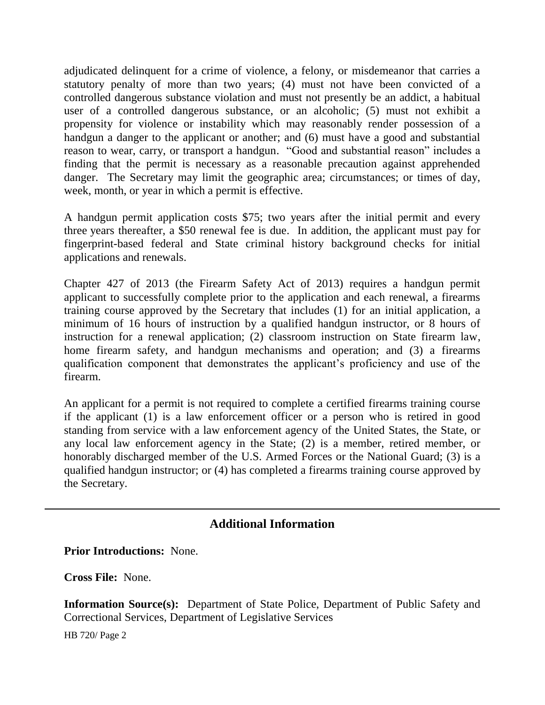adjudicated delinquent for a crime of violence, a felony, or misdemeanor that carries a statutory penalty of more than two years; (4) must not have been convicted of a controlled dangerous substance violation and must not presently be an addict, a habitual user of a controlled dangerous substance, or an alcoholic; (5) must not exhibit a propensity for violence or instability which may reasonably render possession of a handgun a danger to the applicant or another; and (6) must have a good and substantial reason to wear, carry, or transport a handgun. "Good and substantial reason" includes a finding that the permit is necessary as a reasonable precaution against apprehended danger. The Secretary may limit the geographic area; circumstances; or times of day, week, month, or year in which a permit is effective.

A handgun permit application costs \$75; two years after the initial permit and every three years thereafter, a \$50 renewal fee is due. In addition, the applicant must pay for fingerprint-based federal and State criminal history background checks for initial applications and renewals.

Chapter 427 of 2013 (the Firearm Safety Act of 2013) requires a handgun permit applicant to successfully complete prior to the application and each renewal, a firearms training course approved by the Secretary that includes (1) for an initial application, a minimum of 16 hours of instruction by a qualified handgun instructor, or 8 hours of instruction for a renewal application; (2) classroom instruction on State firearm law, home firearm safety, and handgun mechanisms and operation; and (3) a firearms qualification component that demonstrates the applicant's proficiency and use of the firearm.

An applicant for a permit is not required to complete a certified firearms training course if the applicant (1) is a law enforcement officer or a person who is retired in good standing from service with a law enforcement agency of the United States, the State, or any local law enforcement agency in the State; (2) is a member, retired member, or honorably discharged member of the U.S. Armed Forces or the National Guard; (3) is a qualified handgun instructor; or (4) has completed a firearms training course approved by the Secretary.

## **Additional Information**

**Prior Introductions:** None.

**Cross File:** None.

**Information Source(s):** Department of State Police, Department of Public Safety and Correctional Services, Department of Legislative Services

HB 720/ Page 2